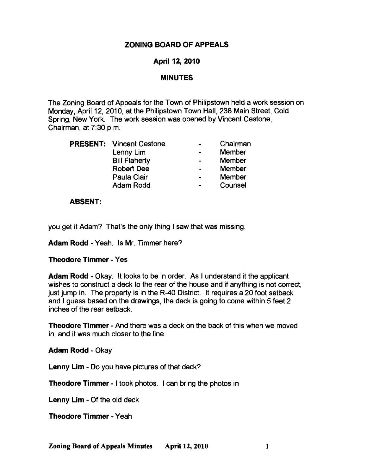## ZONING BOARD OF APPEALS

# April 12, 2010

### MINUTES

The Zoning Board of Appeals for the Town of Philipstown held a work session on Monday, April 12, 2010, at the Philipstown Town Hall, 238 Main Street, Cold Spring, New York. The work session was opened by Vincent Cestone, Chairman, at 7:30 p.m.

|  | <b>PRESENT:</b> Vincent Cestone | Chairman      |
|--|---------------------------------|---------------|
|  | Lenny Lim                       | Member        |
|  | <b>Bill Flaherty</b>            | Member        |
|  | Robert Dee                      | <b>Member</b> |
|  | Paula Clair                     | Member        |
|  | <b>Adam Rodd</b>                | Counsel       |

### ABSENT:

you get it Adam? That's the only thing I saw that was missing.

Adam Rodd • Yeah. Is Mr. Timmer here?

### Theodore Timmer· Yes

Adam Rodd • Okay. It looks to be in order. As I understand it the applicant wishes to construct a deck to the rear of the house and if anything is not correct, just jump in. The property is in the R-40 District. It requires a 20 foot setback and I guess based on the drawings, the deck is going to come within 5 feet 2 inches of the rear setback.

Theodore Timmer· And there was a deck on the back of this when we moved in, and it was much closer to the line.

Adam Rodd • Okay

Lenny Lim • Do you have pictures of that deck?

Theodore Timmer· I took photos. I can bring the photos in

Lenny Lim • Of the old deck

Theodore Timmer· Yeah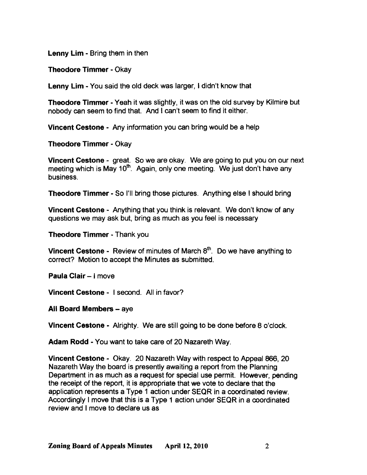Lenny Lim - Bring them in then

Theodore Timmer - Okay

Lenny Lim - You said the old deck was larger, I didn't know that

Theodore Timmer - Yeah it was slightly, it was on the old survey by Kilmire but nobody can seem to find that. And I can't seem to find it either.

Vincent Cestone - Any information you can bring would be a help

Theodore Timmer - Okay

Vincent Cestone - great. So we are okay. We are going to put you on our next meeting which is May 10<sup>th</sup>. Again, only one meeting. We just don't have any business.

Theodore Timmer - So I'll bring those pictures. Anything else I should bring

Vincent Cestone - Anything that you think is relevant. We don't know of any questions we may ask but, bring as much as you feel is necessary

Theodore Timmer - Thank you

Vincent Cestone - Review of minutes of March 8<sup>th</sup>. Do we have anything to correct? Motion to accept the Minutes as submitted.

Paula Clair - I move

Vincent Cestone - I second. All in favor?

All Board Members - ave

Vincent Cestone - Alrighty. We are still going to be done before 8 o'clock.

Adam Rodd - You want to take care of 20 Nazareth Way.

Vincent Cestone - Okay. 20 Nazareth Way with respect to Appeal 866, 20 Nazareth Way the board is presently awaiting a report from the Planning Department in as much as a request for special use permit. However, pending the receipt of the report, it is appropriate that we vote to declare that the application represents a Type 1 action under SEQR in a coordinated review. Accordingly I move that this is a Type 1 action under SEQR in a coordinated review and I move to declare us as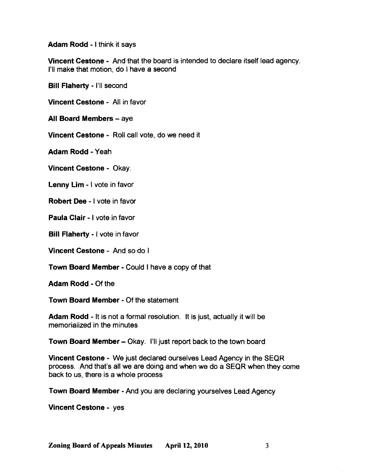Adam Rodd - I think it says

Vincent Cestone - And that the board is intended to declare itself lead agency. I'll make that motion, do I have a second

Bill Flaherty - I'll second

Vincent Cestone - All in favor

All Board Members - aye

Vincent Cestone - Roll call vote, do we need it

Adam Rodd - Yeah

Vincent Cestone - Okay.

Lenny Lim - I vote in favor

Robert Dee - I vote in favor

Paula Clair - I vote in favor

Bill Flaherty - I vote in favor

Vincent Cestone - And so do I

Town Board Member - Could I have a copy of that

Adam Rodd - Of the

Town Board Member - Of the statement

Adam Rodd - It is not a formal resolution. It is just, actually it will be memorialized in the minutes

Town Board Member - Okay. I'll just report back to the town board

Vincent Cestone - We just declared ourselves Lead Agency in the SEQR process. And that's all we are doing and when we do a SEQR when they come back to us, there is a whole process

Town Board Member - And you are declaring yourselves Lead Agency

Vincent Cestone - yes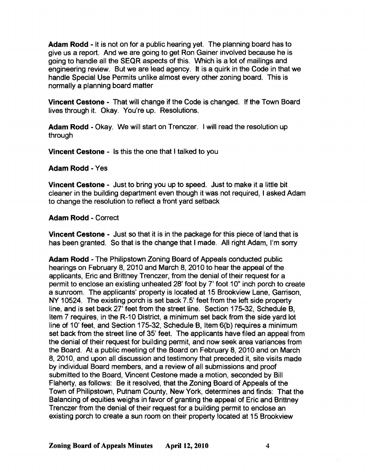Adam Rodd - It is not on for a public hearing yet. The planning board has to give us a report. And we are going to get Ron Gainer involved because he is going to handle all the SEQR aspects of this. Which is a lot of mailings and engineering review. But we are lead agency. It is a quirk in the Code in that we handle Special Use Permits unlike almost every other zoning board. This is normally a planning board matter

Vincent Cestone - That will change if the Code is changed. If the Town Board lives through it. Okay. You're up. Resolutions.

Adam Rodd - Okay. We will start on Trenczer. I will read the resolution up through

Vincent Cestone - Is this the one that I talked to you

Adam Rodd - Yes

Vincent Cestone - Just to bring you up to speed. Just to make it a little bit cleaner in the building department even though it was not required, I asked Adam to change the resolution to reflect a front yard setback

Adam Rodd - Correct

Vincent Cestone - Just so that it is in the package for this piece of land that is has been granted. So that is the change that I made. All right Adam, I'm sorry

Adam Rodd - The Philipstown Zoning Board of Appeals conducted public hearings on February 8, 2010 and March 8, 2010 to hear the appeal of the applicants, Eric and Brittney Trenczer, from the denial of their request for a permit to enclose an existing unheated 28' foot by 7' foot 10" inch porch to create a sunroom. The applicants' property is located at 15 Brookview Lane, Garrison, NY 10524. The existing porch is set back 7.5' feet from the left side property line, and is set back 27' feet from the street line. Section 175-32, Schedule B, Item 7 requires, in the R-10 District, a minimum set back from the side yard lot line of 10' feet, and Section 175-32, Schedule B, Item 6(b) requires a minimum set back from the street line of 35' feet. The applicants have filed an appeal from the denial of their request for building permit, and now seek area variances from the Board. At a public meeting of the Board on February 8,2010 and on March 8, 2010, and upon all discussion and testimony that preceded it, site visits made by individual Board members, and a review of all submissions and proof submitted to the Board, Vincent Cestone made a motion, seconded by Bill Flaherty, as follows: Be it resolved, that the Zoning Board of Appeals of the Town of Philipstown, Putnam County, New York, determines and finds: That the Balancing of equities weighs in favor of granting the appeal of Eric and Brittney Trenczer from the denial of their request for a building permit to enclose an existing porch to create a sun room on their property located at 15 Brookview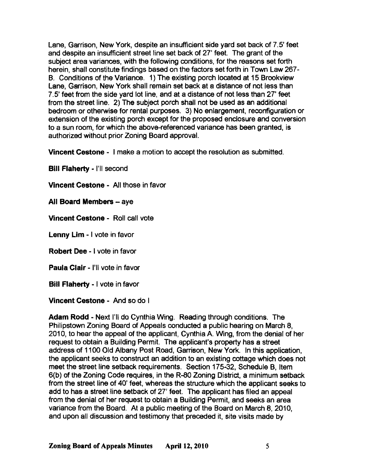Lane, Garrison, New York, despite an insufficient side yard set back of 7.5' feet and despite an insufficient street line set back of 27' feet. The grant of the subject area variances, with the following conditions, for the reasons set forth herein, shall constitute findings based on the factors set forth in Town Law 267 B. Conditions of the Variance. 1) The existing porch located at 15 Brookview Lane, Garrison, New York shall remain set back at a distance of not less than 7.5' feet from the side yard lot line, and at a distance of not less than 27' feet from the street line. 2) The subject porch shalt not be used as an additional bedroom or otherwise for rental purposes. 3) No enlargement, reconfiguration or extension of the existing porch except for the proposed enclosure and conversion to a sun room, for which the above-referenced variance has been granted, is authorized without prior Zoning Board approval.

Vincent Cestone - I make a motion to accept the resolution as submitted.

**Bill Flaherty - I'll second** 

Vincent Cestone - All those in favor

All Board Members - aye

Vincent Cestone - Roll call vote

Lenny Lim - I vote in favor

Robert Dee - I vote in favor

Paula Clair - I'll vote in favor

Bill Flaherty - I vote in favor

Vincent Cestone - And so do I

Adam Rodd - Next I'll do Cynthia Wing. Reading through conditions. The Philipstown Zoning Board of Appeals conducted a public hearing on March 8, 2010, to hear the appeal of the applicant, Cynthia A. Wing, from the denial of her request to obtain a Building Permit. The applicant's property has a street address of 1100 Old Albany Post Road, Garrison, New York. In this application, the applicant seeks to construct an addition to an existing cottage which does not meet the street line setback requirements. Section 175-32, Schedule B, Item 6(b) of the Zoning Code requires, in the R-80 Zoning District, a minimum setback from the street line of 40' feet, whereas the structure which the applicant seeks to add to has a street line setback of 27' feet. The applicant has filed an appeal from the denial of her request to obtain a Building Permit, and seeks an area variance from the Board. At a public meeting of the Board on March 8, 2010, and upon all discussion and testimony that preceded it, site visits made by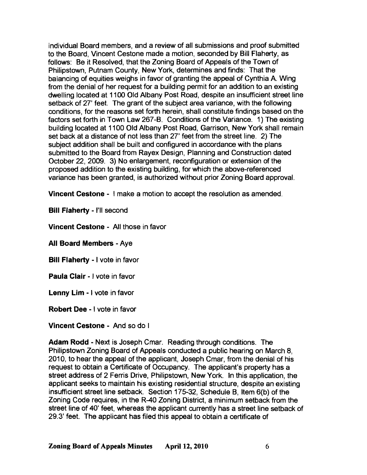individual Board members, and a review of all submissions and proof submitted to the Board, Vincent Cestone made a motion, seconded by Bill Flaherty, as follows: Be it Resolved, that the Zoning Board of Appeals of the Town of Philipstown, Putnam County, New York, determines and finds: That the balancing of equities weighs in favor of granting the appeal of Cynthia A. Wing from the denial of her request for a building permit for an addition to an existing dwelling located at 1100 Old Albany Post Road, despite an insufficient street line setback of 27' feet. The grant of the subject area variance, with the following conditions, for the reasons set forth herein, shall constitute findings based on the factors set forth in Town Law 267-B. Conditions of the Variance. 1) The existing building located at 1100 Old Albany Post Road, Garrison, New York shall remain set back at a distance of not less than 27' feet from the street line. 2) The subject addition shall be built and configured in accordance with the plans submitted to the Board from Rayex Design, Planning and Construction dated October 22, 2009. 3) No enlargement, reconfiguration or extension of the proposed addition to the existing building, for which the above-referenced variance has been granted, is authorized without prior Zoning Board approval.

Vincent Cestone - I make a motion to accept the resolution as amended.

Bill Flaherty - I'll second

Vincent Cestone - All those in favor

All Board Members - Aye

Bill Flaherty - I vote in favor

Paula Clair - I vote in favor

Lenny Lim - I vote in favor

Robert Dee - I vote in favor

Vincent Cestone - And so do I

Adam Rodd - Next is Joseph Cmar. Reading through conditions. The Philipstown Zoning Board of Appeals conducted a public hearing on March 8, 2010, to hear the appeal of the applicant, Joseph Cmar, from the denial of his request to obtain a Certificate of Occupancy. The applicant's property has a street address of 2 Ferris Drive, Philipstown, New York. In this application, the applicant seeks to maintain his existing residential structure, despite an existing insufficient street line setback. Section 175-32, Schedule B, Item 6(b) of the Zoning Code requires, in the R-40 Zoning District, a minimum setback from the street line of 40' feet, whereas the applicant currently has a street line setback of 29.3' feet. The applicant has filed this appeal to obtain a certificate of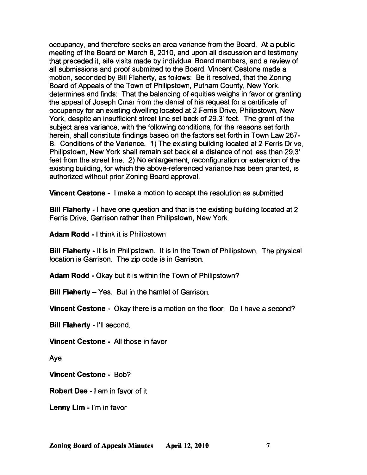occupancy, and therefore seeks an area variance from the Board. At a public meeting of the Board on March 8, 2010, and upon all discussion and testimony that preceded it, site visits made by individual Board members, and a review of all submissions and proof submitted to the Board, Vincent Cestone made a motion, seconded by Bill Flaherty, as follows: Be it resolved, that the Zoning Board of Appeals of the Town of Philipstown, Putnam County, New York, determines and finds: That the balancing of equities weighs in favor or granting the appeal of Joseph Cmar from the denial of his request for a certificate of occupancy for an existing dwelling located at 2 Ferris Drive, Philipstown, New York, despite an insufficient street line set back of 29.3' feet. The grant of the subject area variance, with the following conditions, for the reasons set forth herein, shall constitute findings based on the factors set forth in Town Law 267 B. Conditions of the Variance. 1) The existing building located at 2 Ferris Drive, Philipstown, New York shall remain set back at a distance of not less than 29.3' feet from the street line. 2) No enlargement, reconfiguration or extension of the existing building, for which the above-referenced variance has been granted, is authorized without prior Zoning Board approval.

Vincent Cestone - I make a motion to accept the resolution as submitted

Bill Flaherty - I have one question and that is the existing building located at 2 Ferris Drive, Garrison rather than Philipstown, New York.

Adam Rodd - I think it is Philipstown

**Bill Flaherty** - It is in Philipstown. It is in the Town of Philipstown. The physical location is Garrison. The zip code is in Garrison.

Adam Rodd - Okay but it is within the Town of Philipstown?

Bill Flaherty - Yes. But in the hamlet of Garrison.

Vincent Cestone - Okay there is a motion on the floor. Do I have a second?

Bill Flaherty - I'll second.

Vincent Cestone - All those in favor

Aye

Vincent Cestone - Bob?

Robert Dee - I am in favor of it

Lenny Lim - l'm in favor